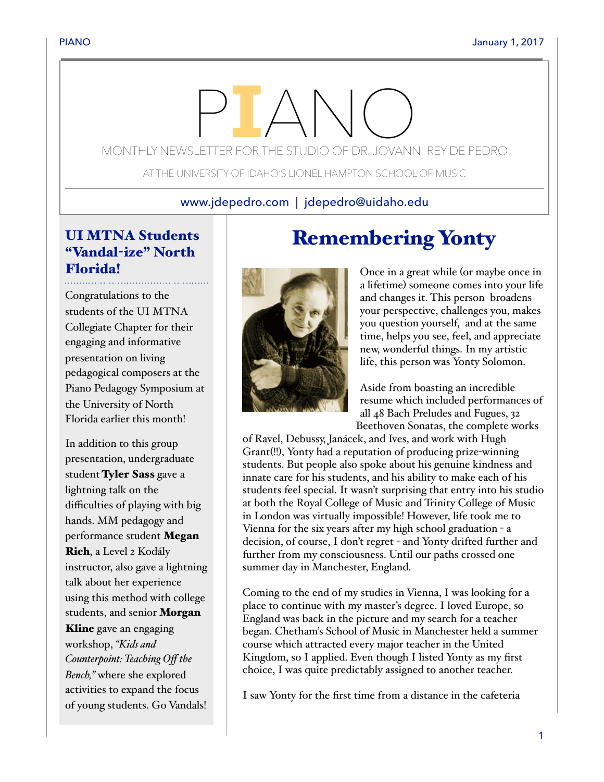# MONTHLY NEWSLETTER FOR THE STUDIO OF DR. JOVANNI-REY DE PEDRO

AT THE UNIVERSITY OF IDAHO'S LIONEL HAMPTON SCHOOL OF MUSIC

## www.jdepedro.com | jdepedro@uidaho.edu

# UI MTNA Students "Vandal-ize" North Florida!

Congratulations to the students of the UI MTNA Collegiate Chapter for their engaging and informative presentation on living pedagogical composers at the Piano Pedagogy Symposium at the University of North Florida earlier this month!

In addition to this group presentation, undergraduate student Tyler Sass gave a lightning talk on the difficulties of playing with big hands. MM pedagogy and performance student Megan Rich, a Level 2 Kodály instructor, also gave a lightning talk about her experience using this method with college students, and senior Morgan Kline gave an engaging workshop, *"Kids and Counterpoint: Teaching Off the Bench,"* where she explored activities to expand the focus

of young students. Go Vandals!

# Remembering Yonty

Once in a great while (or maybe once in a lifetime) someone comes into your life and changes it. This person broadens your perspective, challenges you, makes you question yourself, and at the same time, helps you see, feel, and appreciate new, wonderful things. In my artistic life, this person was Yonty Solomon.

Aside from boasting an incredible resume which included performances of all 48 Bach Preludes and Fugues, 32 Beethoven Sonatas, the complete works

of Ravel, Debussy, Janácek, and Ives, and work with Hugh Grant(!!), Yonty had a reputation of producing prize-winning students. But people also spoke about his genuine kindness and innate care for his students, and his ability to make each of his students feel special. It wasn't surprising that entry into his studio at both the Royal College of Music and Trinity College of Music in London was virtually impossible! However, life took me to Vienna for the six years after my high school graduation - a decision, of course, I don't regret - and Yonty drifted further and further from my consciousness. Until our paths crossed one summer day in Manchester, England.

Coming to the end of my studies in Vienna, I was looking for a place to continue with my master's degree. I loved Europe, so England was back in the picture and my search for a teacher began. Chetham's School of Music in Manchester held a summer course which attracted every major teacher in the United Kingdom, so I applied. Even though I listed Yonty as my first choice, I was quite predictably assigned to another teacher.

I saw Yonty for the first time from a distance in the cafeteria